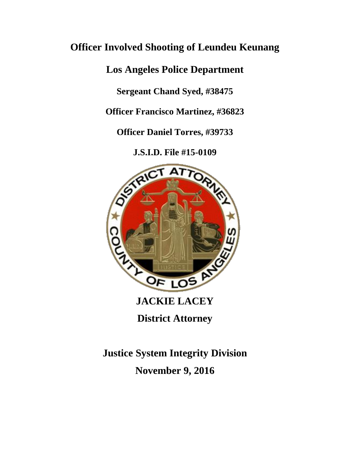# **Officer Involved Shooting of Leundeu Keunang**

**Los Angeles Police Department**

**Sergeant Chand Syed, #38475**

**Officer Francisco Martinez, #36823**

**Officer Daniel Torres, #39733**

**J.S.I.D. File #15-0109**



**District Attorney**

**Justice System Integrity Division November 9, 2016**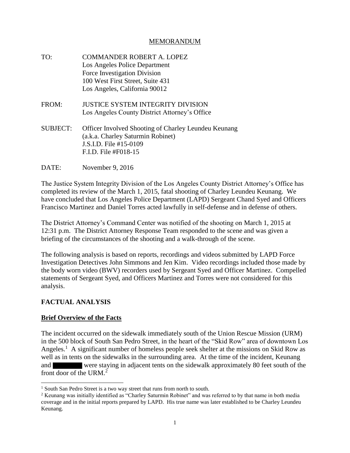## MEMORANDUM

TO: COMMANDER ROBERT A. LOPEZ Los Angeles Police Department Force Investigation Division 100 West First Street, Suite 431 Los Angeles, California 90012 FROM: JUSTICE SYSTEM INTEGRITY DIVISION Los Angeles County District Attorney's Office SUBJECT: Officer Involved Shooting of Charley Leundeu Keunang (a.k.a. Charley Saturmin Robinet) J.S.I.D. File #15-0109 F.I.D. File #F018-15

DATE: November 9, 2016

The Justice System Integrity Division of the Los Angeles County District Attorney's Office has completed its review of the March 1, 2015, fatal shooting of Charley Leundeu Keunang. We have concluded that Los Angeles Police Department (LAPD) Sergeant Chand Syed and Officers Francisco Martinez and Daniel Torres acted lawfully in self-defense and in defense of others.

The District Attorney's Command Center was notified of the shooting on March 1, 2015 at 12:31 p.m. The District Attorney Response Team responded to the scene and was given a briefing of the circumstances of the shooting and a walk-through of the scene.

The following analysis is based on reports, recordings and videos submitted by LAPD Force Investigation Detectives John Simmons and Jen Kim. Video recordings included those made by the body worn video (BWV) recorders used by Sergeant Syed and Officer Martinez. Compelled statements of Sergeant Syed, and Officers Martinez and Torres were not considered for this analysis.

# **FACTUAL ANALYSIS**

# **Brief Overview of the Facts**

The incident occurred on the sidewalk immediately south of the Union Rescue Mission (URM) in the 500 block of South San Pedro Street, in the heart of the "Skid Row" area of downtown Los Angeles.<sup>1</sup> A significant number of homeless people seek shelter at the missions on Skid Row as well as in tents on the sidewalks in the surrounding area. At the time of the incident, Keunang and were staying in adjacent tents on the sidewalk approximately 80 feet south of the front door of the URM.<sup>2</sup>

<sup>&</sup>lt;sup>1</sup> South San Pedro Street is a two way street that runs from north to south.

<sup>2</sup> Keunang was initially identified as "Charley Saturmin Robinet" and was referred to by that name in both media coverage and in the initial reports prepared by LAPD. His true name was later established to be Charley Leundeu Keunang.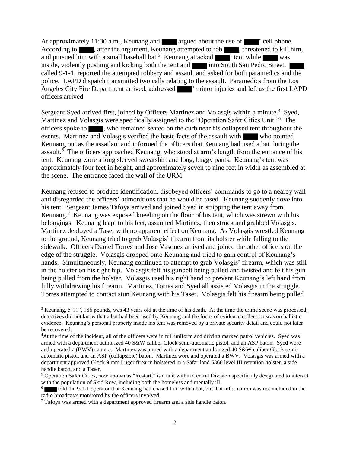At approximately 11:30 a.m., Keunang and  $\blacksquare$  argued about the use of  $\blacksquare$  ' cell phone. According to , after the argument, Keunang attempted to rob , threatened to kill him, and pursued him with a small baseball bat.<sup>3</sup> Keunang attacked  $\blacksquare$  ' tent while was inside, violently pushing and kicking both the tent and into South San Pedro Street. called 9-1-1, reported the attempted robbery and assault and asked for both paramedics and the police. LAPD dispatch transmitted two calls relating to the assault. Paramedics from the Los Angeles City Fire Department arrived, addressed  $\blacksquare$  ' minor injuries and left as the first LAPD officers arrived.

Sergeant Syed arrived first, joined by Officers Martinez and Volasgis within a minute.<sup>4</sup> Syed, Martinez and Volasgis were specifically assigned to the "Operation Safer Cities Unit."<sup>5</sup> The officers spoke to , who remained seated on the curb near his collapsed tent throughout the events. Martinez and Volasgis verified the basic facts of the assault with who pointed Keunang out as the assailant and informed the officers that Keunang had used a bat during the assault.<sup>6</sup> The officers approached Keunang, who stood at arm's length from the entrance of his tent. Keunang wore a long sleeved sweatshirt and long, baggy pants. Keunang's tent was approximately four feet in height, and approximately seven to nine feet in width as assembled at the scene. The entrance faced the wall of the URM.

Keunang refused to produce identification, disobeyed officers' commands to go to a nearby wall and disregarded the officers' admonitions that he would be tased. Keunang suddenly dove into his tent. Sergeant James Tafoya arrived and joined Syed in stripping the tent away from Keunang.<sup>7</sup> Keunang was exposed kneeling on the floor of his tent, which was strewn with his belongings. Keunang leapt to his feet, assaulted Martinez, then struck and grabbed Volasgis. Martinez deployed a Taser with no apparent effect on Keunang. As Volasgis wrestled Keunang to the ground, Keunang tried to grab Volasgis' firearm from its holster while falling to the sidewalk. Officers Daniel Torres and Jose Vasquez arrived and joined the other officers on the edge of the struggle. Volasgis dropped onto Keunang and tried to gain control of Keunang's hands. Simultaneously, Keunang continued to attempt to grab Volasgis' firearm, which was still in the holster on his right hip. Volasgis felt his gunbelt being pulled and twisted and felt his gun being pulled from the holster. Volasgis used his right hand to prevent Keunang's left hand from fully withdrawing his firearm. Martinez, Torres and Syed all assisted Volasgis in the struggle. Torres attempted to contact stun Keunang with his Taser. Volasgis felt his firearm being pulled

<sup>&</sup>lt;sup>3</sup> Keunang, 5'11", 186 pounds, was 43 years old at the time of his death. At the time the crime scene was processed, detectives did not know that a bat had been used by Keunang and the focus of evidence collection was on ballistic evidence. Keunang's personal property inside his tent was removed by a private security detail and could not later be recovered.

<sup>4</sup>At the time of the incident, all of the officers were in full uniform and driving marked patrol vehicles. Syed was armed with a department authorized 40 S&W caliber Glock semi-automatic pistol, and an ASP baton. Syed wore and operated a (BWV) camera. Martinez was armed with a department authorized 40 S&W caliber Glock semiautomatic pistol, and an ASP (collapsible) baton. Martinez wore and operated a BWV. Volasgis was armed with a department approved Glock 9 mm Luger firearm holstered in a Safariland 6360 level III retention holster, a side handle baton, and a Taser.

<sup>5</sup> Operation Safer Cities, now known as "Restart," is a unit within Central Division specifically designated to interact with the population of Skid Row, including both the homeless and mentally ill.

<sup>6</sup> told the 9-1-1 operator that Keunang had chased him with a bat, but that information was not included in the radio broadcasts monitored by the officers involved.

<sup>&</sup>lt;sup>7</sup> Tafoya was armed with a department approved firearm and a side handle baton.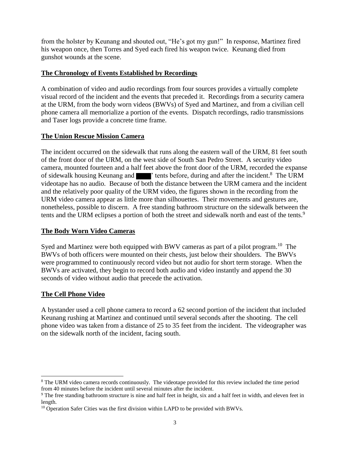from the holster by Keunang and shouted out, "He's got my gun!" In response, Martinez fired his weapon once, then Torres and Syed each fired his weapon twice. Keunang died from gunshot wounds at the scene.

# **The Chronology of Events Established by Recordings**

A combination of video and audio recordings from four sources provides a virtually complete visual record of the incident and the events that preceded it. Recordings from a security camera at the URM, from the body worn videos (BWVs) of Syed and Martinez, and from a civilian cell phone camera all memorialize a portion of the events. Dispatch recordings, radio transmissions and Taser logs provide a concrete time frame.

## **The Union Rescue Mission Camera**

The incident occurred on the sidewalk that runs along the eastern wall of the URM, 81 feet south of the front door of the URM, on the west side of South San Pedro Street. A security video camera, mounted fourteen and a half feet above the front door of the URM, recorded the expanse of sidewalk housing Keunang and **The Figure 1**' tents before, during and after the incident.<sup>8</sup> The URM videotape has no audio. Because of both the distance between the URM camera and the incident and the relatively poor quality of the URM video, the figures shown in the recording from the URM video camera appear as little more than silhouettes. Their movements and gestures are, nonetheless, possible to discern. A free standing bathroom structure on the sidewalk between the tents and the URM eclipses a portion of both the street and sidewalk north and east of the tents.<sup>9</sup>

# **The Body Worn Video Cameras**

Syed and Martinez were both equipped with BWV cameras as part of a pilot program.<sup>10</sup> The BWVs of both officers were mounted on their chests, just below their shoulders. The BWVs were programmed to continuously record video but not audio for short term storage. When the BWVs are activated, they begin to record both audio and video instantly and append the 30 seconds of video without audio that precede the activation.

# **The Cell Phone Video**

A bystander used a cell phone camera to record a 62 second portion of the incident that included Keunang rushing at Martinez and continued until several seconds after the shooting. The cell phone video was taken from a distance of 25 to 35 feet from the incident. The videographer was on the sidewalk north of the incident, facing south.

<sup>8</sup> The URM video camera records continuously. The videotape provided for this review included the time period from 40 minutes before the incident until several minutes after the incident.

<sup>&</sup>lt;sup>9</sup> The free standing bathroom structure is nine and half feet in height, six and a half feet in width, and eleven feet in length.

 $10$  Operation Safer Cities was the first division within LAPD to be provided with BWVs.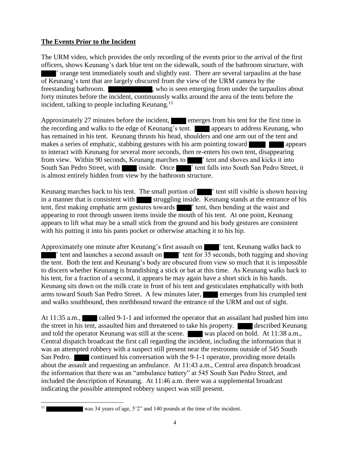# **The Events Prior to the Incident**

The URM video, which provides the only recording of the events prior to the arrival of the first officers, shows Keunang's dark blue tent on the sidewalk, south of the bathroom structure, with ' orange tent immediately south and slightly east. There are several tarpaulins at the base of Keunang's tent that are largely obscured from the view of the URM camera by the freestanding bathroom. , who is seen emerging from under the tarpaulins about forty minutes before the incident, continuously walks around the area of the tents before the incident, talking to people including Keunang. $<sup>11</sup>$ </sup>

Approximately 27 minutes before the incident, emerges from his tent for the first time in the recording and walks to the edge of Keunang's tent. **All appears to address Keunang**, who has remained in his tent. Keunang thrusts his head, shoulders and one arm out of the tent and makes a series of emphatic, stabbing gestures with his arm pointing toward to interact with Keunang for several more seconds, then re-enters his own tent, disappearing from view. Within 90 seconds, Keunang marches to <sup>the s</sup> tent and shoves and kicks it into South San Pedro Street, with inside. Once '' tent falls into South San Pedro Street, it is almost entirely hidden from view by the bathroom structure.

Keunang marches back to his tent. The small portion of  $\blacksquare$  ' tent still visible is shown heaving in a manner that is consistent with struggling inside. Keunang stands at the entrance of his tent, first making emphatic arm gestures towards  $\blacksquare$  ' tent, then bending at the waist and appearing to root through unseen items inside the mouth of his tent. At one point, Keunang appears to lift what may be a small stick from the ground and his body gestures are consistent with his putting it into his pants pocket or otherwise attaching it to his hip.

Approximately one minute after Keunang's first assault on  $\blacksquare$  ' tent, Keunang walks back to <sup>th</sup> tent and launches a second assault on <sup>the</sup> tent for 35 seconds, both tugging and shoving the tent. Both the tent and Keunang's body are obscured from view so much that it is impossible to discern whether Keunang is brandishing a stick or bat at this time. As Keunang walks back to his tent, for a fraction of a second, it appears he may again have a short stick in his hands. Keunang sits down on the milk crate in front of his tent and gesticulates emphatically with both arms toward South San Pedro Street. A few minutes later, emerges from his crumpled tent and walks southbound, then northbound toward the entrance of the URM and out of sight.

At 11:35 a.m., called 9-1-1 and informed the operator that an assailant had pushed him into the street in his tent, assaulted him and threatened to take his property. **The described Keunang** and told the operator Keunang was still at the scene. was placed on hold. At 11:38 a.m., Central dispatch broadcast the first call regarding the incident, including the information that it was an attempted robbery with a suspect still present near the restrooms outside of 545 South San Pedro. **continued his conversation with the 9-1-1 operator, providing more details** about the assault and requesting an ambulance. At 11:43 a.m., Central area dispatch broadcast the information that there was an "ambulance battery" at 545 South San Pedro Street, and included the description of Keunang. At 11:46 a.m. there was a supplemental broadcast indicating the possible attempted robbery suspect was still present.

l

<sup>11</sup> was 34 years of age, 5'2" and 140 pounds at the time of the incident.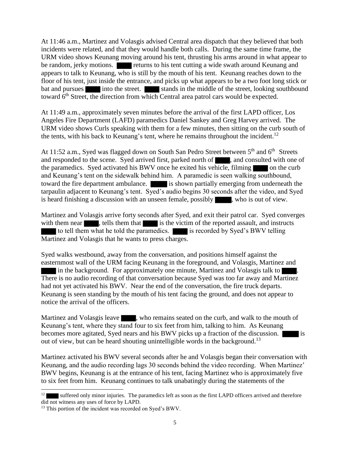At 11:46 a.m., Martinez and Volasgis advised Central area dispatch that they believed that both incidents were related, and that they would handle both calls. During the same time frame, the URM video shows Keunang moving around his tent, thrusting his arms around in what appear to be random, jerky motions. returns to his tent cutting a wide swath around Keunang and appears to talk to Keunang, who is still by the mouth of his tent. Keunang reaches down to the floor of his tent, just inside the entrance, and picks up what appears to be a two foot long stick or bat and pursues into the street. Into the street. Stands in the middle of the street, looking southbound toward 6<sup>th</sup> Street, the direction from which Central area patrol cars would be expected.

At 11:49 a.m., approximately seven minutes before the arrival of the first LAPD officer, Los Angeles Fire Department (LAFD) paramedics Daniel Sankey and Greg Harvey arrived. The URM video shows Curls speaking with them for a few minutes, then sitting on the curb south of the tents, with his back to Keunang's tent, where he remains throughout the incident.<sup>12</sup>

At 11:52 a.m., Syed was flagged down on South San Pedro Street between  $5<sup>th</sup>$  and  $6<sup>th</sup>$  Streets and responded to the scene. Syed arrived first, parked north of , and consulted with one of the paramedics. Syed activated his BWV once he exited his vehicle, filming on the curb and Keunang's tent on the sidewalk behind him. A paramedic is seen walking southbound, toward the fire department ambulance. is shown partially emerging from underneath the tarpaulin adjacent to Keunang's tent. Syed's audio begins 30 seconds after the video, and Syed is heard finishing a discussion with an unseen female, possibly studies who is out of view.

Martinez and Volasgis arrive forty seconds after Syed, and exit their patrol car. Syed converges with them near , tells them that is the victim of the reported assault, and instructs to tell them what he told the paramedics. is recorded by Syed's BWV telling Martinez and Volasgis that he wants to press charges.

Syed walks westbound, away from the conversation, and positions himself against the easternmost wall of the URM facing Keunang in the foreground, and Volasgis, Martinez and in the background. For approximately one minute, Martinez and Volasgis talk to There is no audio recording of that conversation because Syed was too far away and Martinez had not yet activated his BWV. Near the end of the conversation, the fire truck departs. Keunang is seen standing by the mouth of his tent facing the ground, and does not appear to notice the arrival of the officers.

Martinez and Volasgis leave , who remains seated on the curb, and walk to the mouth of Keunang's tent, where they stand four to six feet from him, talking to him. As Keunang becomes more agitated, Syed nears and his BWV picks up a fraction of the discussion. out of view, but can be heard shouting unintelligible words in the background.<sup>13</sup>

Martinez activated his BWV several seconds after he and Volasgis began their conversation with Keunang, and the audio recording lags 30 seconds behind the video recording. When Martinez' BWV begins, Keunang is at the entrance of his tent, facing Martinez who is approximately five to six feet from him. Keunang continues to talk unabatingly during the statements of the

l

<sup>12</sup> suffered only minor injuries. The paramedics left as soon as the first LAPD officers arrived and therefore did not witness any uses of force by LAPD.

<sup>&</sup>lt;sup>13</sup> This portion of the incident was recorded on Syed's BWV.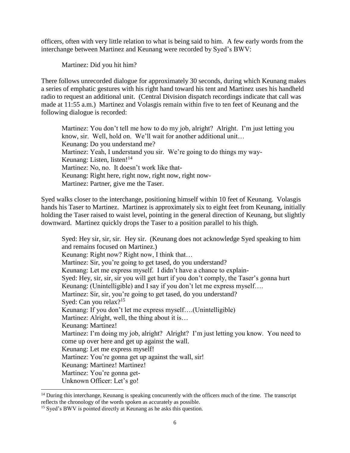officers, often with very little relation to what is being said to him. A few early words from the interchange between Martinez and Keunang were recorded by Syed's BWV:

Martinez: Did you hit him?

There follows unrecorded dialogue for approximately 30 seconds, during which Keunang makes a series of emphatic gestures with his right hand toward his tent and Martinez uses his handheld radio to request an additional unit. (Central Division dispatch recordings indicate that call was made at 11:55 a.m.) Martinez and Volasgis remain within five to ten feet of Keunang and the following dialogue is recorded:

Martinez: You don't tell me how to do my job, alright? Alright. I'm just letting you know, sir. Well, hold on. We'll wait for another additional unit… Keunang: Do you understand me? Martinez: Yeah, I understand you sir. We're going to do things my way-Keunang: Listen, listen! $14$ Martinez: No, no. It doesn't work like that-Keunang: Right here, right now, right now, right now-Martinez: Partner, give me the Taser.

Syed walks closer to the interchange, positioning himself within 10 feet of Keunang. Volasgis hands his Taser to Martinez. Martinez is approximately six to eight feet from Keunang, initially holding the Taser raised to waist level, pointing in the general direction of Keunang, but slightly downward. Martinez quickly drops the Taser to a position parallel to his thigh.

Syed: Hey sir, sir, sir. Hey sir. (Keunang does not acknowledge Syed speaking to him and remains focused on Martinez.) Keunang: Right now? Right now, I think that… Martinez: Sir, you're going to get tased, do you understand? Keunang: Let me express myself. I didn't have a chance to explain-Syed: Hey, sir, sir, sir you will get hurt if you don't comply, the Taser's gonna hurt Keunang: (Unintelligible) and I say if you don't let me express myself.... Martinez: Sir, sir, you're going to get tased, do you understand? Syed: Can you relax?<sup>15</sup> Keunang: If you don't let me express myself….(Unintelligible) Martinez: Alright, well, the thing about it is… Keunang: Martinez! Martinez: I'm doing my job, alright? Alright? I'm just letting you know. You need to come up over here and get up against the wall. Keunang: Let me express myself! Martinez: You're gonna get up against the wall, sir! Keunang: Martinez! Martinez! Martinez: You're gonna get-Unknown Officer: Let's go!

l

 $14$  During this interchange, Keunang is speaking concurrently with the officers much of the time. The transcript reflects the chronology of the words spoken as accurately as possible.

<sup>&</sup>lt;sup>15</sup> Syed's BWV is pointed directly at Keunang as he asks this question.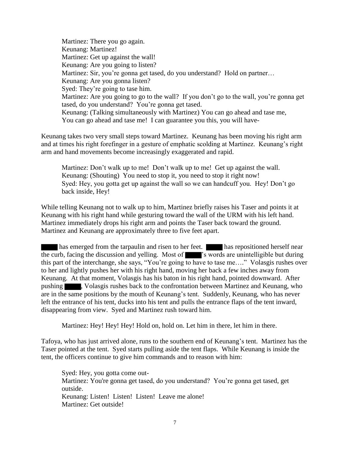Martinez: There you go again. Keunang: Martinez! Martinez: Get up against the wall! Keunang: Are you going to listen? Martinez: Sir, you're gonna get tased, do you understand? Hold on partner... Keunang: Are you gonna listen? Syed: They're going to tase him. Martinez: Are you going to go to the wall? If you don't go to the wall, you're gonna get tased, do you understand? You're gonna get tased. Keunang: (Talking simultaneously with Martinez) You can go ahead and tase me, You can go ahead and tase me! I can guarantee you this, you will have-

Keunang takes two very small steps toward Martinez. Keunang has been moving his right arm and at times his right forefinger in a gesture of emphatic scolding at Martinez. Keunang's right arm and hand movements become increasingly exaggerated and rapid.

Martinez: Don't walk up to me! Don't walk up to me! Get up against the wall. Keunang: (Shouting) You need to stop it, you need to stop it right now! Syed: Hey, you gotta get up against the wall so we can handcuff you. Hey! Don't go back inside, Hey!

While telling Keunang not to walk up to him, Martinez briefly raises his Taser and points it at Keunang with his right hand while gesturing toward the wall of the URM with his left hand. Martinez immediately drops his right arm and points the Taser back toward the ground. Martinez and Keunang are approximately three to five feet apart.

has emerged from the tarpaulin and risen to her feet. has repositioned herself near the curb, facing the discussion and yelling. Most of 's words are unintelligible but during this part of the interchange, she says, "You're going to have to tase me…." Volasgis rushes over to her and lightly pushes her with his right hand, moving her back a few inches away from Keunang. At that moment, Volasgis has his baton in his right hand, pointed downward. After pushing , Volasgis rushes back to the confrontation between Martinez and Keunang, who are in the same positions by the mouth of Keunang's tent. Suddenly, Keunang, who has never left the entrance of his tent, ducks into his tent and pulls the entrance flaps of the tent inward, disappearing from view. Syed and Martinez rush toward him.

Martinez: Hey! Hey! Hey! Hold on, hold on. Let him in there, let him in there.

Tafoya, who has just arrived alone, runs to the southern end of Keunang's tent. Martinez has the Taser pointed at the tent. Syed starts pulling aside the tent flaps. While Keunang is inside the tent, the officers continue to give him commands and to reason with him:

Syed: Hey, you gotta come out-Martinez: You're gonna get tased, do you understand? You're gonna get tased, get outside. Keunang: Listen! Listen! Listen! Leave me alone! Martinez: Get outside!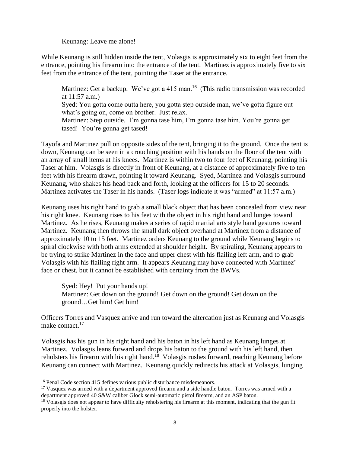Keunang: Leave me alone!

While Keunang is still hidden inside the tent, Volasgis is approximately six to eight feet from the entrance, pointing his firearm into the entrance of the tent. Martinez is approximately five to six feet from the entrance of the tent, pointing the Taser at the entrance.

Martinez: Get a backup. We've got a 415 man.<sup>16</sup> (This radio transmission was recorded at 11:57 a.m.) Syed: You gotta come outta here, you gotta step outside man, we've gotta figure out what's going on, come on brother. Just relax. Martinez: Step outside. I'm gonna tase him, I'm gonna tase him. You're gonna get tased! You're gonna get tased!

Tayofa and Martinez pull on opposite sides of the tent, bringing it to the ground. Once the tent is down, Keunang can be seen in a crouching position with his hands on the floor of the tent with an array of small items at his knees. Martinez is within two to four feet of Keunang, pointing his Taser at him. Volasgis is directly in front of Keunang, at a distance of approximately five to ten feet with his firearm drawn, pointing it toward Keunang. Syed, Martinez and Volasgis surround Keunang, who shakes his head back and forth, looking at the officers for 15 to 20 seconds. Martinez activates the Taser in his hands. (Taser logs indicate it was "armed" at 11:57 a.m.)

Keunang uses his right hand to grab a small black object that has been concealed from view near his right knee. Keunang rises to his feet with the object in his right hand and lunges toward Martinez. As he rises, Keunang makes a series of rapid martial arts style hand gestures toward Martinez. Keunang then throws the small dark object overhand at Martinez from a distance of approximately 10 to 15 feet. Martinez orders Keunang to the ground while Keunang begins to spiral clockwise with both arms extended at shoulder height. By spiraling, Keunang appears to be trying to strike Martinez in the face and upper chest with his flailing left arm, and to grab Volasgis with his flailing right arm. It appears Keunang may have connected with Martinez' face or chest, but it cannot be established with certainty from the BWVs.

Syed: Hey! Put your hands up! Martinez: Get down on the ground! Get down on the ground! Get down on the ground…Get him! Get him!

Officers Torres and Vasquez arrive and run toward the altercation just as Keunang and Volasgis make contact.<sup>17</sup>

Volasgis has his gun in his right hand and his baton in his left hand as Keunang lunges at Martinez. Volasgis leans forward and drops his baton to the ground with his left hand, then reholsters his firearm with his right hand.<sup>18</sup> Volasgis rushes forward, reaching Keunang before Keunang can connect with Martinez. Keunang quickly redirects his attack at Volasgis, lunging

 $\overline{a}$ 

<sup>&</sup>lt;sup>16</sup> Penal Code section 415 defines various public disturbance misdemeanors.

<sup>&</sup>lt;sup>17</sup> Vasquez was armed with a department approved firearm and a side handle baton. Torres was armed with a department approved 40 S&W caliber Glock semi-automatic pistol firearm, and an ASP baton.

<sup>&</sup>lt;sup>18</sup> Volasgis does not appear to have difficulty reholstering his firearm at this moment, indicating that the gun fit properly into the holster.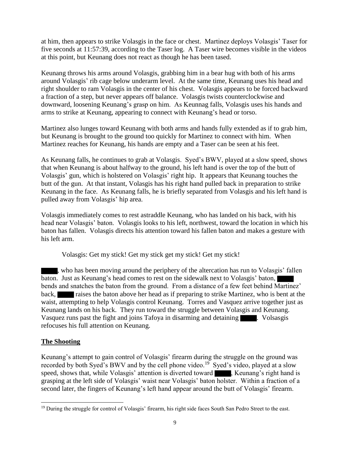at him, then appears to strike Volasgis in the face or chest. Martinez deploys Volasgis' Taser for five seconds at 11:57:39, according to the Taser log. A Taser wire becomes visible in the videos at this point, but Keunang does not react as though he has been tased.

Keunang throws his arms around Volasgis, grabbing him in a bear hug with both of his arms around Volasgis' rib cage below underarm level. At the same time, Keunang uses his head and right shoulder to ram Volasgis in the center of his chest. Volasgis appears to be forced backward a fraction of a step, but never appears off balance. Volasgis twists counterclockwise and downward, loosening Keunang's grasp on him. As Keunnag falls, Volasgis uses his hands and arms to strike at Keunang, appearing to connect with Keunang's head or torso.

Martinez also lunges toward Keunang with both arms and hands fully extended as if to grab him, but Keunang is brought to the ground too quickly for Martinez to connect with him. When Martinez reaches for Keunang, his hands are empty and a Taser can be seen at his feet.

As Keunang falls, he continues to grab at Volasgis. Syed's BWV, played at a slow speed, shows that when Keunang is about halfway to the ground, his left hand is over the top of the butt of Volasgis' gun, which is holstered on Volasgis' right hip. It appears that Keunang touches the butt of the gun. At that instant, Volasgis has his right hand pulled back in preparation to strike Keunang in the face. As Keunang falls, he is briefly separated from Volasgis and his left hand is pulled away from Volasgis' hip area.

Volasgis immediately comes to rest astraddle Keunang, who has landed on his back, with his head near Volasgis' baton. Volasgis looks to his left, northwest, toward the location in which his baton has fallen. Volasgis directs his attention toward his fallen baton and makes a gesture with his left arm.

Volasgis: Get my stick! Get my stick get my stick! Get my stick!

, who has been moving around the periphery of the altercation has run to Volasgis' fallen baton. Just as Keunang's head comes to rest on the sidewalk next to Volasgis' baton, bends and snatches the baton from the ground. From a distance of a few feet behind Martinez' back, raises the baton above her head as if preparing to strike Martinez, who is bent at the waist, attempting to help Volasgis control Keunang. Torres and Vasquez arrive together just as Keunang lands on his back. They run toward the struggle between Volasgis and Keunang. Vasquez runs past the fight and joins Tafoya in disarming and detaining **1996**. Volsasgis refocuses his full attention on Keunang.

# **The Shooting**

l

Keunang's attempt to gain control of Volasgis' firearm during the struggle on the ground was recorded by both Syed's BWV and by the cell phone video.<sup>19</sup> Syed's video, played at a slow speed, shows that, while Volasgis' attention is diverted toward , Keunang's right hand is grasping at the left side of Volasgis' waist near Volasgis' baton holster. Within a fraction of a second later, the fingers of Keunang's left hand appear around the butt of Volasgis' firearm.

<sup>&</sup>lt;sup>19</sup> During the struggle for control of Volasgis' firearm, his right side faces South San Pedro Street to the east.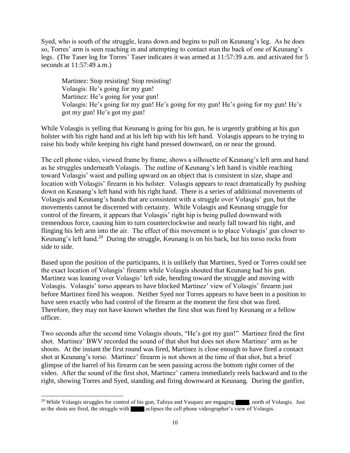Syed, who is south of the struggle, leans down and begins to pull on Keunang's leg. As he does so, Torres' arm is seen reaching in and attempting to contact stun the back of one of Keunang's legs. (The Taser log for Torres' Taser indicates it was armed at 11:57:39 a.m. and activated for 5 seconds at 11:57:49 a.m.)

Martinez: Stop resisting! Stop resisting! Volasgis: He's going for my gun! Martinez: He's going for your gun! Volasgis: He's going for my gun! He's going for my gun! He's going for my gun! He's got my gun! He's got my gun!

While Volasgis is yelling that Keunang is going for his gun, he is urgently grabbing at his gun holster with his right hand and at his left hip with his left hand. Volasgis appears to be trying to raise his body while keeping his right hand pressed downward, on or near the ground.

The cell phone video, viewed frame by frame, shows a silhouette of Keunang's left arm and hand as he struggles underneath Volasgis. The outline of Keunang's left hand is visible reaching toward Volasgis' waist and pulling upward on an object that is consistent in size, shape and location with Volasgis' firearm in his holster. Volasgis appears to react dramatically by pushing down on Keunang's left hand with his right hand. There is a series of additional movements of Volasgis and Keunang's hands that are consistent with a struggle over Volasgis' gun, but the movements cannot be discerned with certainty. While Volasgis and Keunang struggle for control of the firearm, it appears that Volasgis' right hip is being pulled downward with tremendous force, causing him to turn counterclockwise and nearly fall toward his right, and flinging his left arm into the air. The effect of this movement is to place Volasgis' gun closer to Keunang's left hand.<sup>20</sup> During the struggle, Keunang is on his back, but his torso rocks from side to side.

Based upon the position of the participants, it is unlikely that Martinez, Syed or Torres could see the exact location of Volasgis' firearm while Volasgis shouted that Keunang had his gun. Martinez was leaning over Volasgis' left side, bending toward the struggle and moving with Volasgis. Volasgis' torso appears to have blocked Martinez' view of Volasgis' firearm just before Martinez fired his weapon. Neither Syed nor Torres appears to have been in a position to have seen exactly who had control of the firearm at the moment the first shot was fired. Therefore, they may not have known whether the first shot was fired by Keunang or a fellow officer.

Two seconds after the second time Volasgis shouts, "He's got my gun!" Martinez fired the first shot. Martinez' BWV recorded the sound of that shot but does not show Martinez' arm as he shoots. At the instant the first round was fired, Martinez is close enough to have fired a contact shot at Keunang's torso. Martinez' firearm is not shown at the time of that shot, but a brief glimpse of the barrel of his firearm can be seen passing across the bottom right corner of the video. After the sound of the first shot, Martinez' camera immediately reels backward and to the right, showing Torres and Syed, standing and firing downward at Keunang. During the gunfire,

 $\overline{a}$ 

<sup>&</sup>lt;sup>20</sup> While Volasgis struggles for control of his gun, Tafoya and Vasquez are engaging , north of Volasgis. Just as the shots are fired, the struggle with eclipses the cell phone videographer's view of Volasgis.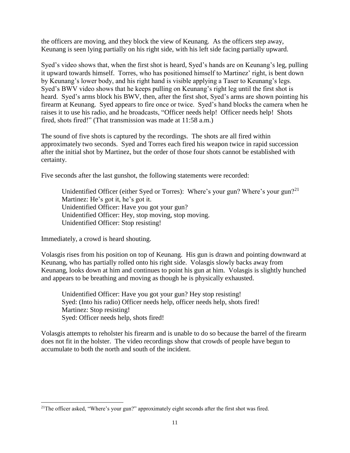the officers are moving, and they block the view of Keunang. As the officers step away, Keunang is seen lying partially on his right side, with his left side facing partially upward.

Syed's video shows that, when the first shot is heard, Syed's hands are on Keunang's leg, pulling it upward towards himself. Torres, who has positioned himself to Martinez' right, is bent down by Keunang's lower body, and his right hand is visible applying a Taser to Keunang's legs. Syed's BWV video shows that he keeps pulling on Keunang's right leg until the first shot is heard. Syed's arms block his BWV, then, after the first shot, Syed's arms are shown pointing his firearm at Keunang. Syed appears to fire once or twice. Syed's hand blocks the camera when he raises it to use his radio, and he broadcasts, "Officer needs help! Officer needs help! Shots fired, shots fired!" (That transmission was made at 11:58 a.m.)

The sound of five shots is captured by the recordings. The shots are all fired within approximately two seconds. Syed and Torres each fired his weapon twice in rapid succession after the initial shot by Martinez, but the order of those four shots cannot be established with certainty.

Five seconds after the last gunshot, the following statements were recorded:

Unidentified Officer (either Syed or Torres): Where's your gun? Where's your gun?<sup>21</sup> Martinez: He's got it, he's got it. Unidentified Officer: Have you got your gun? Unidentified Officer: Hey, stop moving, stop moving. Unidentified Officer: Stop resisting!

Immediately, a crowd is heard shouting.

l

Volasgis rises from his position on top of Keunang. His gun is drawn and pointing downward at Keunang, who has partially rolled onto his right side. Volasgis slowly backs away from Keunang, looks down at him and continues to point his gun at him. Volasgis is slightly hunched and appears to be breathing and moving as though he is physically exhausted.

Unidentified Officer: Have you got your gun? Hey stop resisting! Syed: (Into his radio) Officer needs help, officer needs help, shots fired! Martinez: Stop resisting! Syed: Officer needs help, shots fired!

Volasgis attempts to reholster his firearm and is unable to do so because the barrel of the firearm does not fit in the holster. The video recordings show that crowds of people have begun to accumulate to both the north and south of the incident.

<sup>&</sup>lt;sup>21</sup>The officer asked, "Where's your gun?" approximately eight seconds after the first shot was fired.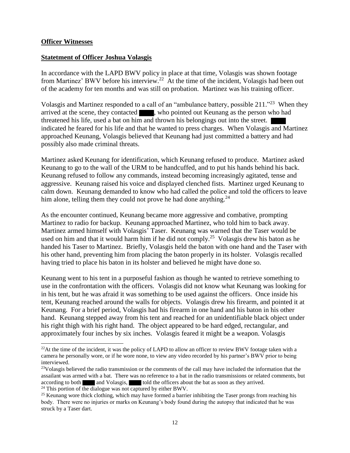#### **Officer Witnesses**

#### **Statetment of Officer Joshua Volasgis**

In accordance with the LAPD BWV policy in place at that time, Volasgis was shown footage from Martinez' BWV before his interview.<sup>22</sup> At the time of the incident, Volasgis had been out of the academy for ten months and was still on probation. Martinez was his training officer.

Volasgis and Martinez responded to a call of an "ambulance battery, possible 211."<sup>23</sup> When they arrived at the scene, they contacted , who pointed out Keunang as the person who had threatened his life, used a bat on him and thrown his belongings out into the street. indicated he feared for his life and that he wanted to press charges. When Volasgis and Martinez approached Keunang, Volasgis believed that Keunang had just committed a battery and had possibly also made criminal threats.

Martinez asked Keunang for identification, which Keunang refused to produce. Martinez asked Keunang to go to the wall of the URM to be handcuffed, and to put his hands behind his back. Keunang refused to follow any commands, instead becoming increasingly agitated, tense and aggressive. Keunang raised his voice and displayed clenched fists. Martinez urged Keunang to calm down. Keunang demanded to know who had called the police and told the officers to leave him alone, telling them they could not prove he had done anything.<sup>24</sup>

As the encounter continued, Keunang became more aggressive and combative, prompting Martinez to radio for backup. Keunang approached Martinez, who told him to back away. Martinez armed himself with Volasgis' Taser. Keunang was warned that the Taser would be used on him and that it would harm him if he did not comply.<sup>25</sup> Volasgis drew his baton as he handed his Taser to Martinez. Briefly, Volasgis held the baton with one hand and the Taser with his other hand, preventing him from placing the baton properly in its holster. Volasgis recalled having tried to place his baton in its holster and believed he might have done so.

Keunang went to his tent in a purposeful fashion as though he wanted to retrieve something to use in the confrontation with the officers. Volasgis did not know what Keunang was looking for in his tent, but he was afraid it was something to be used against the officers. Once inside his tent, Keunang reached around the walls for objects. Volasgis drew his firearm, and pointed it at Keunang. For a brief period, Volasgis had his firearm in one hand and his baton in his other hand. Keunang stepped away from his tent and reached for an unidentifiable black object under his right thigh with his right hand. The object appeared to be hard edged, rectangular, and approximately four inches by six inches. Volasgis feared it might be a weapon. Volasgis

 $24$  This portion of the dialogue was not captured by either BWV.

 $\overline{a}$ 

<sup>&</sup>lt;sup>22</sup>At the time of the incident, it was the policy of LAPD to allow an officer to review BWV footage taken with a camera he personally wore, or if he wore none, to view any video recorded by his partner's BWV prior to being interviewed.

<sup>&</sup>lt;sup>23</sup>Volasgis believed the radio transmission or the comments of the call may have included the information that the assailant was armed with a bat. There was no reference to a bat in the radio transmissions or related comments, but according to both and Volasgis, told the officers about the bat as soon as they arrived.

<sup>&</sup>lt;sup>25</sup> Keunang wore thick clothing, which may have formed a barrier inhibiting the Taser prongs from reaching his body. There were no injuries or marks on Keunang's body found during the autopsy that indicated that he was struck by a Taser dart.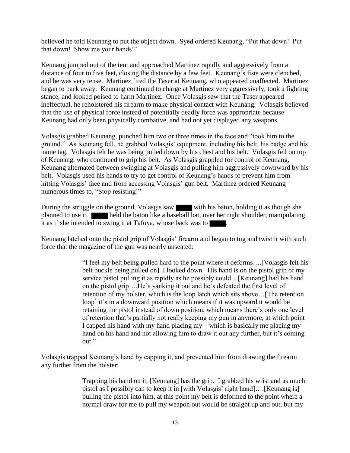believed he told Keunang to put the object down. Syed ordered Keunang, "Put that down! Put that down! Show me your hands!"

Keunang jumped out of the tent and approached Martinez rapidly and aggressively from a distance of four to five feet, closing the distance by a few feet. Keunang's fists were clenched, and he was very tense. Martinez fired the Taser at Keunang, who appeared unaffected. Martinez began to back away. Keunang continued to charge at Martinez very aggressively, took a fighting stance, and looked poised to harm Martinez. Once Volasgis saw that the Taser appeared ineffectual, he reholstered his firearm to make physical contact with Keunang. Volasgis believed that the use of physical force instead of potentially deadly force was appropriate because Keunang had only been physically combative, and had not yet displayed any weapons.

Volasgis grabbed Keunang, punched him two or three times in the face and "took him to the ground." As Keunang fell, he grabbed Volasgis' equipment, including his belt, his badge and his name tag. Volasgis felt he was being pulled down by his chest and his belt. Volasgis fell on top of Keunang, who continued to grip his belt. As Volasgis grappled for control of Keunang, Keunang alternated between swinging at Volasgis and pulling him aggressively downward by his belt. Volasgis used his hands to try to get control of Keunang's hands to prevent him from hitting Volasgis' face and from accessing Volasgis' gun belt. Martinez ordered Keunang numerous times to, "Stop resisting!"

During the struggle on the ground, Volasgis saw with his baton, holding it as though she planned to use it. held the baton like a baseball bat, over her right shoulder, manipulating it as if she intended to swing it at Tafoya, whose back was to .

Keunang latched onto the pistol grip of Volasgis' firearm and began to tug and twist it with such force that the magazine of the gun was nearly unseated:

> "I feel my belt being pulled hard to the point where it deforms….[Volasgis felt his belt buckle being pulled on] I looked down. His hand is on the pistol grip of my service pistol pulling it as rapidly as he possibly could…[Keunang] had his hand on the pistol grip….He's yanking it out and he's defeated the first level of retention of my holster, which is the loop latch which sits above…[The retention loop] it's in a downward position which means if it was upward it would be retaining the pistol instead of down position, which means there's only one level of retention that's partially not really keeping my gun in anymore, at which point I capped his hand with my hand placing my – which is basically me placing my hand on his hand and not allowing him to draw it out any further, but it's coming out."

Volasgis trapped Keunang's hand by capping it, and prevented him from drawing the firearm any further from the holster:

> Trapping his hand on it, [Keunang] has the grip. I grabbed his wrist and as much pistol as I possibly can to keep it in [with Volasgis' right hand]….[Keunang is] pulling the pistol into him, at this point my belt is deformed to the point where a normal draw for me to pull my weapon out would be straight up and out, but my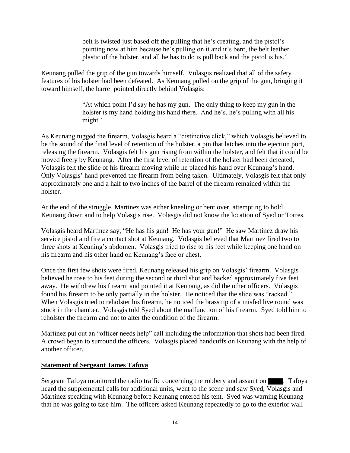belt is twisted just based off the pulling that he's creating, and the pistol's pointing now at him because he's pulling on it and it's bent, the belt leather plastic of the holster, and all he has to do is pull back and the pistol is his."

Keunang pulled the grip of the gun towards himself. Volasgis realized that all of the safety features of his holster had been defeated. As Keunang pulled on the grip of the gun, bringing it toward himself, the barrel pointed directly behind Volasgis:

> "At which point I'd say he has my gun. The only thing to keep my gun in the holster is my hand holding his hand there. And he's, he's pulling with all his might.'

As Keunang tugged the firearm, Volasgis heard a "distinctive click," which Volasgis believed to be the sound of the final level of retention of the holster, a pin that latches into the ejection port, releasing the firearm. Volasgis felt his gun rising from within the holster, and felt that it could be moved freely by Keunang. After the first level of retention of the holster had been defeated, Volasgis felt the slide of his firearm moving while he placed his hand over Keunang's hand. Only Volasgis' hand prevented the firearm from being taken. Ultimately, Volasgis felt that only approximately one and a half to two inches of the barrel of the firearm remained within the holster.

At the end of the struggle, Martinez was either kneeling or bent over, attempting to hold Keunang down and to help Volasgis rise. Volasgis did not know the location of Syed or Torres.

Volasgis heard Martinez say, "He has his gun! He has your gun!" He saw Martinez draw his service pistol and fire a contact shot at Keunang. Volasgis believed that Martinez fired two to three shots at Keuning's abdomen. Volasgis tried to rise to his feet while keeping one hand on his firearm and his other hand on Keunang's face or chest.

Once the first few shots were fired, Keunang released his grip on Volasgis' firearm. Volasgis believed he rose to his feet during the second or third shot and backed approximately five feet away. He withdrew his firearm and pointed it at Keunang, as did the other officers. Volasgis found his firearm to be only partially in the holster. He noticed that the slide was "racked." When Volasgis tried to reholster his firearm, he noticed the brass tip of a misfed live round was stuck in the chamber. Volasgis told Syed about the malfunction of his firearm. Syed told him to reholster the firearm and not to alter the condition of the firearm.

Martinez put out an "officer needs help" call including the information that shots had been fired. A crowd began to surround the officers. Volasgis placed handcuffs on Keunang with the help of another officer.

# **Statement of Sergeant James Tafoya**

Sergeant Tafoya monitored the radio traffic concerning the robbery and assault on . Tafoya heard the supplemental calls for additional units, went to the scene and saw Syed, Volasgis and Martinez speaking with Keunang before Keunang entered his tent. Syed was warning Keunang that he was going to tase him. The officers asked Keunang repeatedly to go to the exterior wall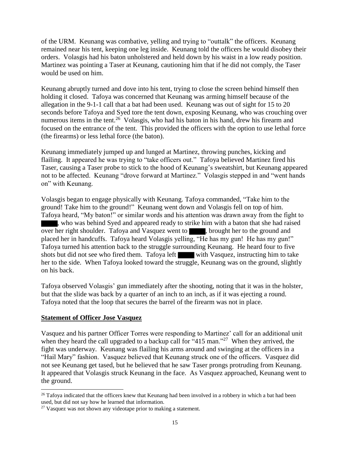of the URM. Keunang was combative, yelling and trying to "outtalk" the officers. Keunang remained near his tent, keeping one leg inside. Keunang told the officers he would disobey their orders. Volasgis had his baton unholstered and held down by his waist in a low ready position. Martinez was pointing a Taser at Keunang, cautioning him that if he did not comply, the Taser would be used on him.

Keunang abruptly turned and dove into his tent, trying to close the screen behind himself then holding it closed. Tafoya was concerned that Keunang was arming himself because of the allegation in the 9-1-1 call that a bat had been used. Keunang was out of sight for 15 to 20 seconds before Tafoya and Syed tore the tent down, exposing Keunang, who was crouching over numerous items in the tent.<sup>26</sup> Volasgis, who had his baton in his hand, drew his firearm and focused on the entrance of the tent. This provided the officers with the option to use lethal force (the firearms) or less lethal force (the baton).

Keunang immediately jumped up and lunged at Martinez, throwing punches, kicking and flailing. It appeared he was trying to "take officers out." Tafoya believed Martinez fired his Taser, causing a Taser probe to stick to the hood of Keunang's sweatshirt, but Keunang appeared not to be affected. Keunang "drove forward at Martinez." Volasgis stepped in and "went hands on" with Keunang.

Volasgis began to engage physically with Keunang. Tafoya commanded, "Take him to the ground! Take him to the ground!" Keunang went down and Volasgis fell on top of him. Tafoya heard, "My baton!" or similar words and his attention was drawn away from the fight to , who was behind Syed and appeared ready to strike him with a baton that she had raised over her right shoulder. Tafoya and Vasquez went to **the state of the ground and** placed her in handcuffs. Tafoya heard Volasgis yelling, "He has my gun! He has my gun!" Tafoya turned his attention back to the struggle surrounding Keunang. He heard four to five shots but did not see who fired them. Tafoya left with Vasquez, instructing him to take her to the side. When Tafoya looked toward the struggle, Keunang was on the ground, slightly on his back.

Tafoya observed Volasgis' gun immediately after the shooting, noting that it was in the holster, but that the slide was back by a quarter of an inch to an inch, as if it was ejecting a round. Tafoya noted that the loop that secures the barrel of the firearm was not in place.

### **Statement of Officer Jose Vasquez**

l

Vasquez and his partner Officer Torres were responding to Martinez' call for an additional unit when they heard the call upgraded to a backup call for "415 man."<sup>27</sup> When they arrived, the fight was underway. Keunang was flailing his arms around and swinging at the officers in a "Hail Mary" fashion. Vasquez believed that Keunang struck one of the officers. Vasquez did not see Keunang get tased, but he believed that he saw Taser prongs protruding from Keunang. It appeared that Volasgis struck Keunang in the face. As Vasquez approached, Keunang went to the ground.

<sup>&</sup>lt;sup>26</sup> Tafoya indicated that the officers knew that Keunang had been involved in a robbery in which a bat had been used, but did not say how he learned that information.

 $27$  Vasquez was not shown any videotape prior to making a statement.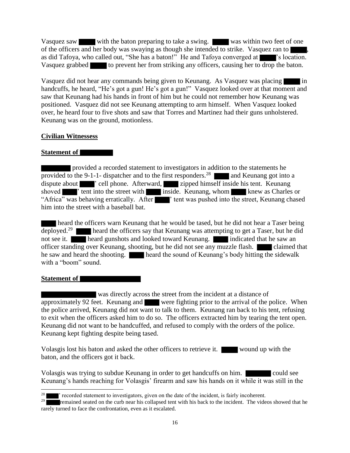Vasquez saw with the baton preparing to take a swing. Was within two feet of one of the officers and her body was swaying as though she intended to strike. Vasquez ran to , as did Tafoya, who called out, "She has a baton!" He and Tafoya converged at  $\blacksquare$ " s location. Vasquez grabbed to prevent her from striking any officers, causing her to drop the baton.

Vasquez did not hear any commands being given to Keunang. As Vasquez was placing in handcuffs, he heard, "He's got a gun! He's got a gun!" Vasquez looked over at that moment and saw that Keunang had his hands in front of him but he could not remember how Keunang was positioned. Vasquez did not see Keunang attempting to arm himself. When Vasquez looked over, he heard four to five shots and saw that Torres and Martinez had their guns unholstered. Keunang was on the ground, motionless.

## **Civilian Witnessess**

## **Statement of**

 provided a recorded statement to investigators in addition to the statements he provided to the 9-1-1- dispatcher and to the first responders.<sup>28</sup> and Keunang got into a dispute about <sup>'</sup> cell phone. Afterward,  $\overline{\phantom{a}}$  zipped himself inside his tent. Keunang shoved <sup>th</sup> tent into the street with inside. Keunang, whom knew as Charles or "Africa" was behaving erratically. After  $\blacksquare$ " tent was pushed into the street, Keunang chased him into the street with a baseball bat.

heard the officers warn Keunang that he would be tased, but he did not hear a Taser being deployed.<sup>29</sup> **heard the officers say that Keunang was attempting to get a Taser, but he did** not see it. heard gunshots and looked toward Keunang. indicated that he saw an officer standing over Keunang, shooting, but he did not see any muzzle flash. claimed that he saw and heard the shooting. heard the sound of Keunang's body hitting the sidewalk with a "boom" sound.

### **Statement of**

l

 was directly across the street from the incident at a distance of approximately 92 feet. Keunang and were fighting prior to the arrival of the police. When the police arrived, Keunang did not want to talk to them. Keunang ran back to his tent, refusing to exit when the officers asked him to do so. The officers extracted him by tearing the tent open. Keunang did not want to be handcuffed, and refused to comply with the orders of the police. Keunang kept fighting despite being tased.

Volasgis lost his baton and asked the other officers to retrieve it. wound up with the baton, and the officers got it back.

Volasgis was trying to subdue Keunang in order to get handcuffs on him. could see Keunang's hands reaching for Volasgis' firearm and saw his hands on it while it was still in the

<sup>28</sup> ' recorded statement to investigators, given on the date of the incident, is fairly incoherent.

<sup>&</sup>lt;sup>29</sup> remained seated on the curb near his collapsed tent with his back to the incident. The videos showed that he rarely turned to face the confrontation, even as it escalated.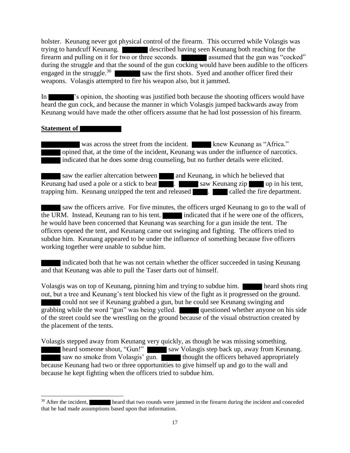holster. Keunang never got physical control of the firearm. This occurred while Volasgis was trying to handcuff Keunang. described having seen Keunang both reaching for the firearm and pulling on it for two or three seconds. **assumed that the gun was "cocked"** during the struggle and that the sound of the gun cocking would have been audible to the officers engaged in the struggle. $30$ saw the first shots. Syed and another officer fired their weapons. Volasgis attempted to fire his weapon also, but it jammed.

In 's opinion, the shooting was justified both because the shooting officers would have heard the gun cock, and because the manner in which Volasgis jumped backwards away from Keunang would have made the other officers assume that he had lost possession of his firearm.

### **Statement of**

 $\overline{a}$ 

was across the street from the incident. Knew Keunang as "Africa." opined that, at the time of the incident, Keunang was under the influence of narcotics. indicated that he does some drug counseling, but no further details were elicited.

saw the earlier altercation between and Keunang, in which he believed that Keunang had used a pole or a stick to beat **Exercise 2.** saw Keunang zip up in his tent, trapping him. Keunang unzipped the tent and released . called the fire department.

 saw the officers arrive. For five minutes, the officers urged Keunang to go to the wall of the URM. Instead, Keunang ran to his tent. indicated that if he were one of the officers, he would have been concerned that Keunang was searching for a gun inside the tent. The officers opened the tent, and Keunang came out swinging and fighting. The officers tried to subdue him. Keunang appeared to be under the influence of something because five officers working together were unable to subdue him.

indicated both that he was not certain whether the officer succeeded in tasing Keunang and that Keunang was able to pull the Taser darts out of himself.

Volasgis was on top of Keunang, pinning him and trying to subdue him. heard shots ring out, but a tree and Keunang's tent blocked his view of the fight as it progressed on the ground. could not see if Keunang grabbed a gun, but he could see Keunang swinging and grabbing while the word "gun" was being yelled. questioned whether anyone on his side of the street could see the wrestling on the ground because of the visual obstruction created by the placement of the tents.

Volasgis stepped away from Keunang very quickly, as though he was missing something. heard someone shout, "Gun!" saw Volasgis step back up, away from Keunang. saw no smoke from Volasgis' gun. **thought the officers behaved appropriately** because Keunang had two or three opportunities to give himself up and go to the wall and because he kept fighting when the officers tried to subdue him.

<sup>&</sup>lt;sup>30</sup> After the incident, heard that two rounds were jammed in the firearm during the incident and conceded that he had made assumptions based upon that information.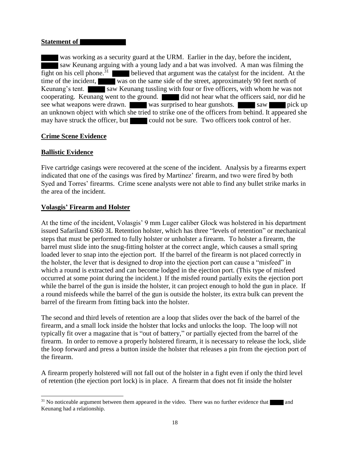### **Statement of**

was working as a security guard at the URM. Earlier in the day, before the incident, saw Keunang arguing with a young lady and a bat was involved. A man was filming the fight on his cell phone.<sup>31</sup> believed that argument was the catalyst for the incident. At the time of the incident, was on the same side of the street, approximately 90 feet north of Keunang's tent. saw Keunang tussling with four or five officers, with whom he was not cooperating. Keunang went to the ground. did not hear what the officers said, nor did he see what weapons were drawn. was surprised to hear gunshots. Saw saw pick up an unknown object with which she tried to strike one of the officers from behind. It appeared she may have struck the officer, but could not be sure. Two officers took control of her.

## **Crime Scene Evidence**

## **Ballistic Evidence**

 $\overline{a}$ 

Five cartridge casings were recovered at the scene of the incident. Analysis by a firearms expert indicated that one of the casings was fired by Martinez' firearm, and two were fired by both Syed and Torres' firearms. Crime scene analysts were not able to find any bullet strike marks in the area of the incident.

### **Volasgis' Firearm and Holster**

At the time of the incident, Volasgis' 9 mm Luger caliber Glock was holstered in his department issued Safariland 6360 3L Retention holster, which has three "levels of retention" or mechanical steps that must be performed to fully holster or unholster a firearm. To holster a firearm, the barrel must slide into the snug-fitting holster at the correct angle, which causes a small spring loaded lever to snap into the ejection port. If the barrel of the firearm is not placed correctly in the holster, the lever that is designed to drop into the ejection port can cause a "misfeed" in which a round is extracted and can become lodged in the ejection port. (This type of misfeed occurred at some point during the incident.) If the misfed round partially exits the ejection port while the barrel of the gun is inside the holster, it can project enough to hold the gun in place. If a round misfeeds while the barrel of the gun is outside the holster, its extra bulk can prevent the barrel of the firearm from fitting back into the holster.

The second and third levels of retention are a loop that slides over the back of the barrel of the firearm, and a small lock inside the holster that locks and unlocks the loop. The loop will not typically fit over a magazine that is "out of battery," or partially ejected from the barrel of the firearm. In order to remove a properly holstered firearm, it is necessary to release the lock, slide the loop forward and press a button inside the holster that releases a pin from the ejection port of the firearm.

A firearm properly holstered will not fall out of the holster in a fight even if only the third level of retention (the ejection port lock) is in place. A firearm that does not fit inside the holster

 $31$  No noticeable argument between them appeared in the video. There was no further evidence that and Keunang had a relationship.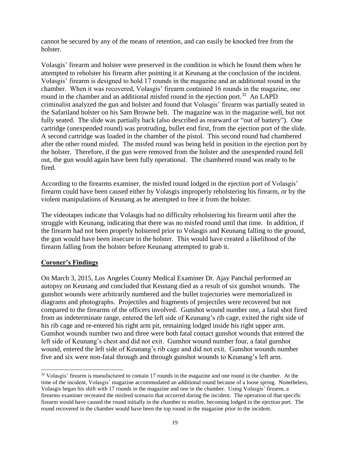cannot be secured by any of the means of retention, and can easily be knocked free from the holster.

Volasgis' firearm and holster were preserved in the condition in which he found them when he attempted to reholster his firearm after pointing it at Keunang at the conclusion of the incident. Volasgis' firearm is designed to hold 17 rounds in the magazine and an additional round in the chamber. When it was recovered, Volasgis' firearm contained 16 rounds in the magazine, one round in the chamber and an additional misfed round in the ejection port.<sup>32</sup> An LAPD criminalist analyzed the gun and holster and found that Volasgis' firearm was partially seated in the Safariland holster on his Sam Browne belt. The magazine was in the magazine well, but not fully seated. The slide was partially back (also described as rearward or "out of battery"). One cartridge (unexpended round) was protruding, bullet end first, from the ejection port of the slide. A second cartridge was loaded in the chamber of the pistol. This second round had chambered after the other round misfed. The misfed round was being held in position in the ejection port by the holster. Therefore, if the gun were removed from the holster and the unexpended round fell out, the gun would again have been fully operational. The chambered round was ready to be fired.

According to the firearms examiner, the misfed round lodged in the ejection port of Volasgis' firearm could have been caused either by Volasgis improperly reholstering his firearm, or by the violent manipulations of Keunang as he attempted to free it from the holster.

The videotapes indicate that Volasgis had no difficulty reholstering his firearm until after the struggle with Keunang, indicating that there was no misfed round until that time. In addition, if the firearm had not been properly holstered prior to Volasgis and Keunang falling to the ground, the gun would have been insecure in the holster. This would have created a likelihood of the firearm falling from the holster before Keunang attempted to grab it.

# **Coroner's Findings**

 $\overline{a}$ 

On March 3, 2015, Los Angeles County Medical Examiner Dr. Ajay Panchal performed an autopsy on Keunang and concluded that Keunang died as a result of six gunshot wounds. The gunshot wounds were arbitrarily numbered and the bullet trajectories were memorialized in diagrams and photographs. Projectiles and fragments of projectiles were recovered but not compared to the firearms of the officers involved. Gunshot wound number one, a fatal shot fired from an indeterminate range, entered the left side of Keunang's rib cage, exited the right side of his rib cage and re-entered his right arm pit, remaining lodged inside his right upper arm. Gunshot wounds number two and three were both fatal contact gunshot wounds that entered the left side of Keunang's chest and did not exit. Gunshot wound number four, a fatal gunshot wound, entered the left side of Keunang's rib cage and did not exit. Gunshot wounds number five and six were non-fatal through and through gunshot wounds to Keunang's left arm.

 $32$  Volasgis' firearm is manufactured to contain 17 rounds in the magazine and one round in the chamber. At the time of the incident, Volasgis' magazine accommodated an additional round because of a loose spring. Nonetheless, Volasgis began his shift with 17 rounds in the magazine and one in the chamber. Using Volasgis' firearm, a firearms examiner recreated the misfeed scenario that occurred during the incident. The operation of that specific firearm would have caused the round initially in the chamber to misfire, becoming lodged in the ejection port. The round recovered in the chamber would have been the top round in the magazine prior to the incident.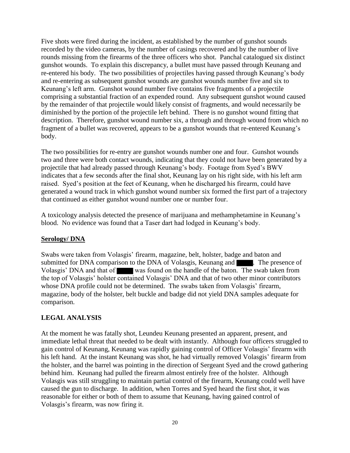Five shots were fired during the incident, as established by the number of gunshot sounds recorded by the video cameras, by the number of casings recovered and by the number of live rounds missing from the firearms of the three officers who shot. Panchal catalogued six distinct gunshot wounds. To explain this discrepancy, a bullet must have passed through Keunang and re-entered his body. The two possibilities of projectiles having passed through Keunang's body and re-entering as subsequent gunshot wounds are gunshot wounds number five and six to Keunang's left arm. Gunshot wound number five contains five fragments of a projectile comprising a substantial fraction of an expended round. Any subsequent gunshot wound caused by the remainder of that projectile would likely consist of fragments, and would necessarily be diminished by the portion of the projectile left behind. There is no gunshot wound fitting that description. Therefore, gunshot wound number six, a through and through wound from which no fragment of a bullet was recovered, appears to be a gunshot wounds that re-entered Keunang's body.

The two possibilities for re-entry are gunshot wounds number one and four. Gunshot wounds two and three were both contact wounds, indicating that they could not have been generated by a projectile that had already passed through Keunang's body. Footage from Syed's BWV indicates that a few seconds after the final shot, Keunang lay on his right side, with his left arm raised. Syed's position at the feet of Keunang, when he discharged his firearm, could have generated a wound track in which gunshot wound number six formed the first part of a trajectory that continued as either gunshot wound number one or number four.

A toxicology analysis detected the presence of marijuana and methamphetamine in Keunang's blood. No evidence was found that a Taser dart had lodged in Keunang's body.

# **Serology/ DNA**

Swabs were taken from Volasgis' firearm, magazine, belt, holster, badge and baton and submitted for DNA comparison to the DNA of Volasgis, Keunang and . The presence of Volasgis' DNA and that of was found on the handle of the baton. The swab taken from the top of Volasgis' holster contained Volasgis' DNA and that of two other minor contributors whose DNA profile could not be determined. The swabs taken from Volasgis' firearm, magazine, body of the holster, belt buckle and badge did not yield DNA samples adequate for comparison.

# **LEGAL ANALYSIS**

At the moment he was fatally shot, Leundeu Keunang presented an apparent, present, and immediate lethal threat that needed to be dealt with instantly. Although four officers struggled to gain control of Keunang, Keunang was rapidly gaining control of Officer Volasgis' firearm with his left hand. At the instant Keunang was shot, he had virtually removed Volasgis' firearm from the holster, and the barrel was pointing in the direction of Sergeant Syed and the crowd gathering behind him. Keunang had pulled the firearm almost entirely free of the holster. Although Volasgis was still struggling to maintain partial control of the firearm, Keunang could well have caused the gun to discharge. In addition, when Torres and Syed heard the first shot, it was reasonable for either or both of them to assume that Keunang, having gained control of Volasgis's firearm, was now firing it.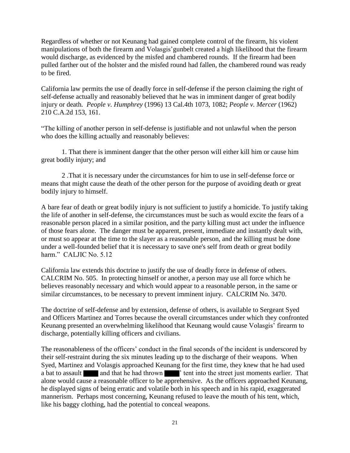Regardless of whether or not Keunang had gained complete control of the firearm, his violent manipulations of both the firearm and Volasgis'gunbelt created a high likelihood that the firearm would discharge, as evidenced by the misfed and chambered rounds. If the firearm had been pulled farther out of the holster and the misfed round had fallen, the chambered round was ready to be fired.

California law permits the use of deadly force in self-defense if the person claiming the right of self-defense actually and reasonably believed that he was in imminent danger of great bodily injury or death*. People v. Humphrey* (1996) 13 Cal.4th 1073, 1082; *People v. Mercer* (1962) 210 C.A.2d 153, 161.

"The killing of another person in self-defense is justifiable and not unlawful when the person who does the killing actually and reasonably believes:

1. That there is imminent danger that the other person will either kill him or cause him great bodily injury; and

2 .That it is necessary under the circumstances for him to use in self-defense force or means that might cause the death of the other person for the purpose of avoiding death or great bodily injury to himself.

A bare fear of death or great bodily injury is not sufficient to justify a homicide. To justify taking the life of another in self-defense, the circumstances must be such as would excite the fears of a reasonable person placed in a similar position, and the party killing must act under the influence of those fears alone. The danger must be apparent, present, immediate and instantly dealt with, or must so appear at the time to the slayer as a reasonable person, and the killing must be done under a well-founded belief that it is necessary to save one's self from death or great bodily harm." CALJIC No. 5.12

California law extends this doctrine to justify the use of deadly force in defense of others. CALCRIM No. 505. In protecting himself or another, a person may use all force which he believes reasonably necessary and which would appear to a reasonable person, in the same or similar circumstances, to be necessary to prevent imminent injury. CALCRIM No. 3470.

The doctrine of self-defense and by extension, defense of others, is available to Sergeant Syed and Officers Martinez and Torres because the overall circumstances under which they confronted Keunang presented an overwhelming likelihood that Keunang would cause Volasgis' firearm to discharge, potentially killing officers and civilians.

The reasonableness of the officers' conduct in the final seconds of the incident is underscored by their self-restraint during the six minutes leading up to the discharge of their weapons. When Syed, Martinez and Volasgis approached Keunang for the first time, they knew that he had used a bat to assault and that he had thrown ' tent into the street just moments earlier. That alone would cause a reasonable officer to be apprehensive. As the officers approached Keunang, he displayed signs of being erratic and volatile both in his speech and in his rapid, exaggerated mannerism. Perhaps most concerning, Keunang refused to leave the mouth of his tent, which, like his baggy clothing, had the potential to conceal weapons.